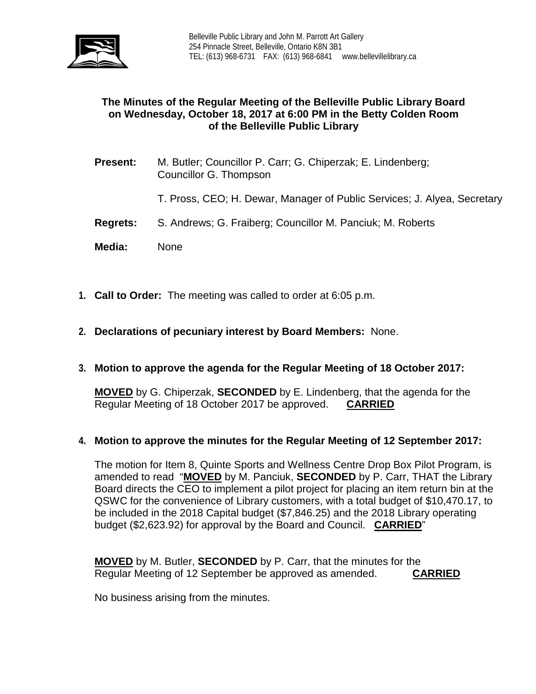

## **The Minutes of the Regular Meeting of the Belleville Public Library Board on Wednesday, October 18, 2017 at 6:00 PM in the Betty Colden Room of the Belleville Public Library**

- **Present:** M. Butler; Councillor P. Carr; G. Chiperzak; E. Lindenberg; Councillor G. Thompson
	- T. Pross, CEO; H. Dewar, Manager of Public Services; J. Alyea, Secretary
- **Regrets:** S. Andrews; G. Fraiberg; Councillor M. Panciuk; M. Roberts
- **Media:** None
- **1. Call to Order:** The meeting was called to order at 6:05 p.m.
- **2. Declarations of pecuniary interest by Board Members:** None.

#### **3. Motion to approve the agenda for the Regular Meeting of 18 October 2017:**

**MOVED** by G. Chiperzak, **SECONDED** by E. Lindenberg, that the agenda for the Regular Meeting of 18 October 2017 be approved. **CARRIED**

#### **4. Motion to approve the minutes for the Regular Meeting of 12 September 2017:**

The motion for Item 8, Quinte Sports and Wellness Centre Drop Box Pilot Program, is amended to read "**MOVED** by M. Panciuk, **SECONDED** by P. Carr, THAT the Library Board directs the CEO to implement a pilot project for placing an item return bin at the QSWC for the convenience of Library customers, with a total budget of \$10,470.17, to be included in the 2018 Capital budget (\$7,846.25) and the 2018 Library operating budget (\$2,623.92) for approval by the Board and Council. **CARRIED**"

**MOVED** by M. Butler, **SECONDED** by P. Carr, that the minutes for the Regular Meeting of 12 September be approved as amended. **CARRIED**

No business arising from the minutes.